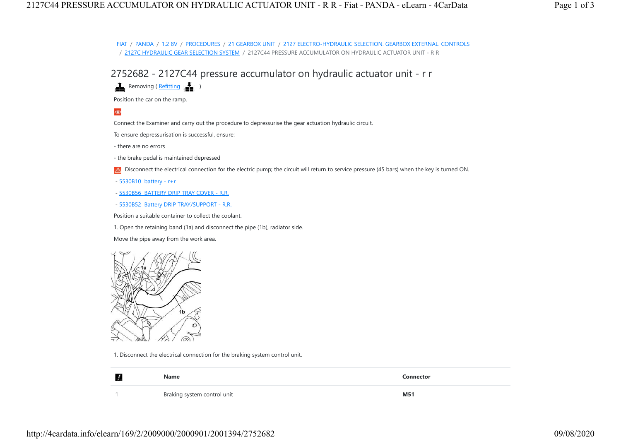FIAT / PANDA / 1.2 8V / PROCEDURES / 21 GEARBOX UNIT / 2127 ELECTRO-HYDRAULIC SELECTION. GEARBOX EXTERNAL. CONTROLS / 2127C HYDRAULIC GEAR SELECTION SYSTEM / 2127C44 PRESSURE ACCUMULATOR ON HYDRAULIC ACTUATOR UNIT - R R

2752682 - 2127C44 pressure accumulator on hydraulic actuator unit - r r

 $\frac{1}{\sqrt{2}}$  Removing ( $\frac{Refitting}{\sqrt{2}}$  )

Position the car on the ramp.

## $\circledast$

Connect the Examiner and carry out the procedure to depressurise the gear actuation hydraulic circuit.

To ensure depressurisation is successful, ensure:

- there are no errors

- the brake pedal is maintained depressed

A Disconnect the electrical connection for the electric pump; the circuit will return to service pressure (45 bars) when the key is turned ON.

- 5530B10 battery - r+r

- 5530B56 BATTERY DRIP TRAY COVER - R.R.

- 5530B52 Battery DRIP TRAY/SUPPORT - R.R.

Position a suitable container to collect the coolant.

1. Open the retaining band (1a) and disconnect the pipe (1b), radiator side.

Move the pipe away from the work area.



1. Disconnect the electrical connection for the braking system control unit.

| Name                        | Connector  |
|-----------------------------|------------|
| Braking system control unit | <b>M51</b> |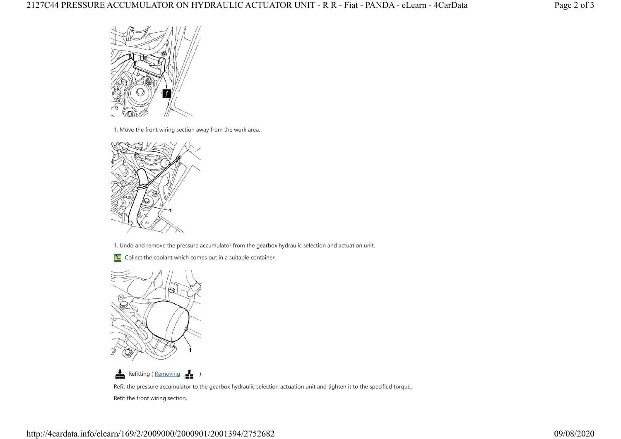

1. Move the front wiring section away from the work area.



1. Undo and remove the pressure accumulator from the gearbox hydraulic selection and actuation unit.

**N** Collect the coolant which comes out in a suitable container.





Refit the pressure accumulator to the gearbox hydraulic selection actuation unit and tighten it to the specified torque. Refit the front wiring section.